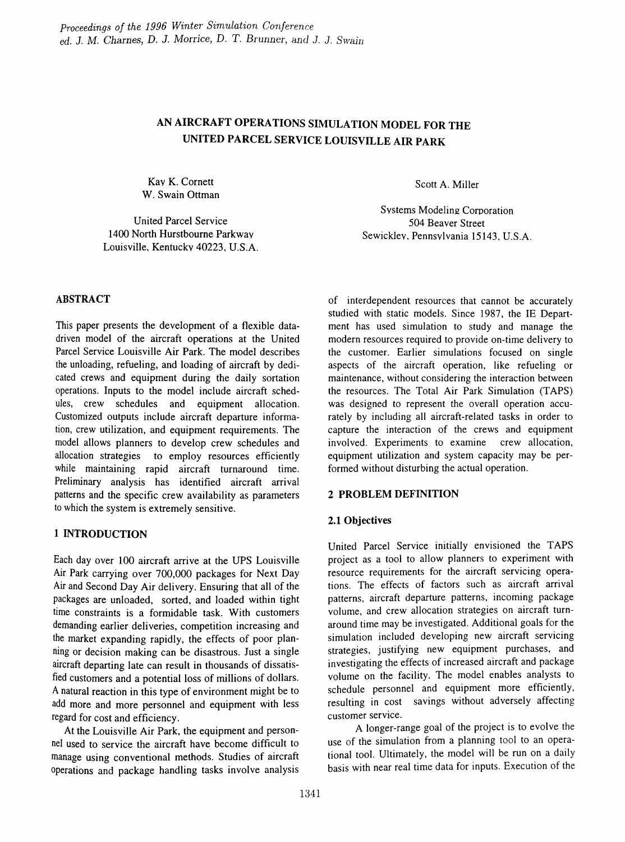# AN AIRCRAFT OPERATIONS SIMULATION MODEL FOR THE UNITED PARCEL SERVICE LOUISVILLE AIR PARK

Kav K. Cornett W. Swain Ottman

United Parcel Service 1400 North Hurstbourne Parkway Louisville, Kentuckv 40223, U.S.A. Scott A. Miller

Systems Modeling Corporation 504 Beaver Street Sewickley, Pennsylvania 15143, U.S.A.

# ABSTRACT

This paper presents the development of a flexible datadriven model of the aircraft operations at the United Parcel Service Louisville Air Park. The model describes the unloading, refueling, and loading of aircraft by dedicated crews and equipment during the daily sortation operations. Inputs to the model include aircraft schedules, crew schedules and equipment allocation. Customized outputs include aircraft departure information, crew utilization, and equipment requirements. The model allows planners to develop crew schedules and allocation strategies to employ resources efficiently while maintaining rapid aircraft turnaround time. Preliminary analysis has identified aircraft arrival patterns and the specific crew availability as parameters to which the system is extremely sensitive.

# 1 INTRODUCTION

Each day over 100 aircraft arrive at the UPS Louisville Air Park carrying over 700,000 packages for Next Day Air and Second Day Air delivery. Ensuring that all of the packages are unloaded, sorted, and loaded within tight time constraints is a formidable task. With customers demanding earlier deliveries, competition increasing and the market expanding rapidly, the effects of poor planning or decision making can be disastrous. Just a single aircraft departing late can result in thousands of dissatisfied customers and a potential loss of millions of dollars. A natural reaction in this type of environment might be to add more and more personnel and equipment with less regard for cost and efficiency.

At the Louisville Air Park, the equipment and personnel used to service the aircraft have become difficult to manage using conventional methods. Studies of aircraft operations and package handling tasks involve analysis

of interdependent resources that cannot be accurately studied with static models. Since 1987, the IE Department has used simulation to study and manage the modern resources required to provide on-time delivery to the customer. Earlier simulations focused on single aspects of the aircraft operation, like refueling or maintenance, without considering the interaction between the resources. The Total Air Park Simulation (TAPS) was designed to represent the overall operation accurately by including all aircraft-related tasks in order to capture the interaction of the crews and equipment involved. Experiments to examine crew allocation, equipment utilization and system capacity may be performed without disturbing the actual operation.

# 2 PROBLEM DEFINITION

#### 2.1 Objectives

United Parcel Service initially envisioned the TAPS project as a tool to allow planners to experiment with resource requirements for the aircraft servicing operations. The effects of factors such as aircraft arrival patterns, aircraft departure patterns, incoming package volume, and crew allocation strategies on aircraft turnaround time may be investigated. Additional goals for the simulation included developing new aircraft servicing strategies, justifying new equipment purchases, and investigating the effects of increased aircraft and package volume on the facility. The model enables analysts to schedule personnel and equipment more efficiently, resulting in cost savings without adversely affecting customer service.

A longer-range goal of the project is to evolve the use of the simulation from a planning tool to an operational tool. Ultimately, the model will be run on a daily basis with near real time data for inputs. Execution of the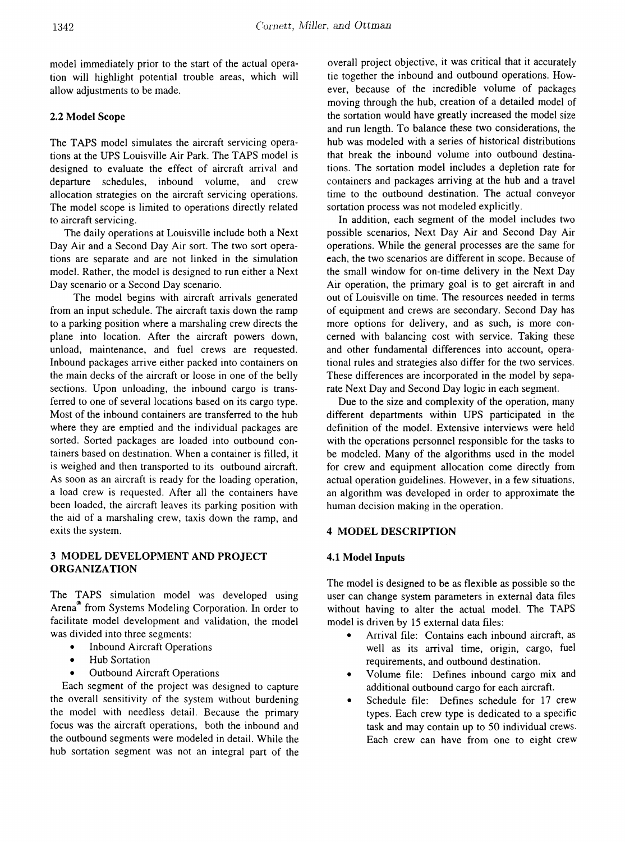model immediately prior to the start of the actual operation will highlight potential trouble areas, which will allow adjustments to be made.

## 2.2 Model Scope

The TAPS model simulates the aircraft servicing operations at the UPS Louisville Air Park. The TAPS model is designed to evaluate the effect of aircraft arrival and departure schedules, inbound volume, and crew allocation strategies on the aircraft servicing operations. The model scope is limited to operations directly related to aircraft servicing.

The daily operations at Louisville include both a Next Day Air and a Second Day Air sort. The two sort operations are separate and are not linked in the simulation model. Rather, the model is designed to run either a Next Day scenario or a Second Day scenario.

The model begins with aircraft arrivals generated from an input schedule. The aircraft taxis down the ramp to a parking position where a marshaling crew directs the plane into location. After the aircraft powers down, unload, maintenance, and fuel crews are requested. Inbound packages arrive either packed into containers on the main decks of the aircraft or loose in one of the belly sections. Upon unloading, the inbound cargo is transferred to one of several locations based on its cargo type. Most of the inbound containers are transferred to the hub where they are emptied and the individual packages are sorted. Sorted packages are loaded into outbound containers based on destination. When a container is filled, it is weighed and then transported to its outbound aircraft. As soon as an aircraft is ready for the loading operation, a load crew is requested. After all the containers have been loaded, the aircraft leaves its parking position with the aid of a marshaling crew, taxis down the ramp, and exits the system.

## 3 MODEL DEVELOPMENT AND PROJECT ORGANIZATION

The TAPS simulation model was developed using Arena® from Systems Modeling Corporation. In order to facilitate model development and validation, the model was divided into three segments:

- Inbound Aircraft Operations
- Hub Sortation
- **Outbound Aircraft Operations**

Each segment of the project was designed to capture the overall sensitivity of the system without burdening the model with needless detail. Because the primary focus was the aircraft operations, both the inbound and the outbound segments were modeled in detail. While the hub sortation segment was not an integral part of the overall project objective, it was critical that it accurately tie together the inbound and outbound operations. However, because of the incredible volume of packages moving through the hub, creation of a detailed model of the sortation would have greatly increased the model size and run length. To balance these two considerations, the hub was modeled with a series of historical distributions that break the inbound volume into outbound destinations. The sortation model includes a depletion rate for containers and packages arriving at the hub and a travel time to the outbound destination. The actual conveyor sortation process was not modeled explicitly.

In addition, each segment of the model includes two possible scenarios, Next Day Air and Second Day Air operations. While the general processes are the same for each, the two scenarios are different in scope. Because of the small window for on-time delivery in the Next Day Air operation, the primary goal is to get aircraft in and out of Louisville on time. The resources needed in terms of equipment and crews are secondary. Second Day has more options for delivery, and as such, is more concerned with balancing cost with service. Taking these and other fundamental differences into account, operational rules and strategies also differ for the two services. These differences are incorporated in the model by separate Next Day and Second Day logic in each segment.

Due to the size and complexity of the operation, many different departments within UPS participated in the definition of the model. Extensive interviews were held with the operations personnel responsible for the tasks to be modeled. Many of the algorithms used in the model for crew and equipment allocation come directly from actual operation guidelines. However, in a few situations, an algorithm was developed in order to approximate the human decision making in the operation.

#### 4 MODEL DESCRIPTION

#### 4.1 Model Inputs

The model is designed to be as flexible as possible so the user can change system parameters in external data files without having to alter the actual model. The TAPS model is driven by 15 external data files:

- Arrival file: Contains each inbound aircraft, as well as its arrival time, origin, cargo, fuel requirements, and outbound destination.
- Volume file: Defines inbound cargo mix and additional outbound cargo for each aircraft.
- Schedule file: Defines schedule for 17 crew types. Each crew type is dedicated to a specific task and may contain up to 50 individual crews. Each crew can have from one to eight crew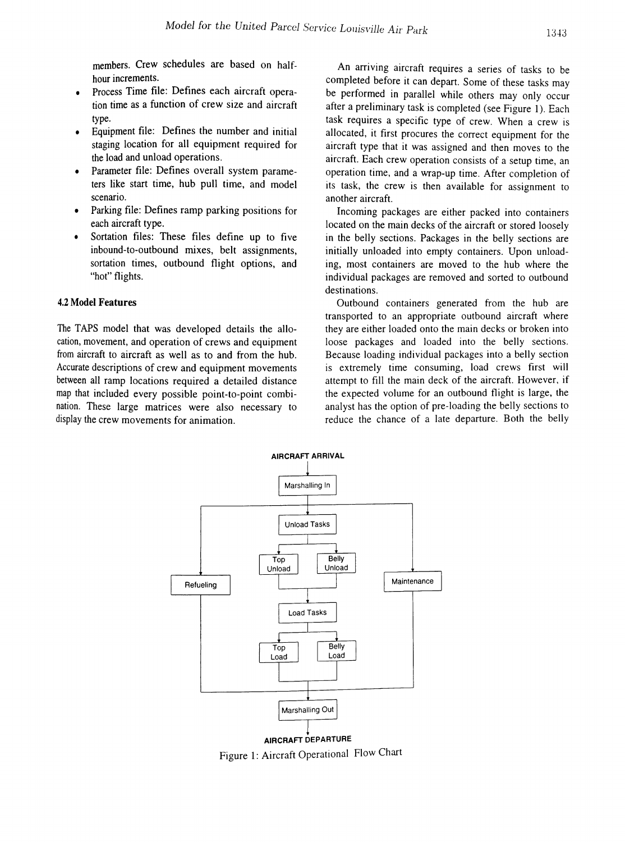members. Crew schedules are based on halfhour increments.

- Process Time file: Defines each aircraft operation time as a function of crew size and aircraft type.
- Equipment file: Defines the number and initial staging location for all equipment required for the load and unload operations.
- Parameter file: Defines overall system parameters like start time, hub pull time, and model scenario.
- Parking file: Defines ramp parking positions for each aircraft type.
- Sortation files: These files define up to five inbound-to-outbound mixes, belt assignments, sortation times, outbound flight options, and "hot" flights.

#### 4.2 Model Features

The TAPS model that was developed details the allocation, movement, and operation of crews and equipment from aircraft to aircraft as well as to and from the hub. Accurate descriptions of crew and equipment movements between all ramp locations required a detailed distance map that included every possible point-to-point combination. These large matrices were also necessary to display the crew movements for animation.

An arriving aircraft requires a series of tasks to be completed before it can depart. Some of these tasks may be performed in parallel while others may only occur after a preliminary task is completed (see Figure 1). Each task requires a specific type of crew. When a crew is allocated, it first procures the correct equipment for the aircraft type that it was assigned and then moves to the aircraft. Each crew operation consists of a setup time, an operation time, and a wrap-up time. After completion of its task, the crew is then available for assignment to another aircraft.

Incoming packages are either packed into containers located on the main decks of the aircraft or stored loosely in the belly sections. Packages in the belly sections are initially unloaded into empty containers. Upon unloading, most containers are moved to the hub where the individual packages are removed and sorted to outbound destinations.

Outbound containers generated from the hub are transported to an appropriate outbound aircraft where they are either loaded onto the main decks or broken into loose packages and loaded into the belly sections. Because loading individual packages into a belly section is extremely time consuming, load crews first will attempt to fill the main deck of the aircraft. However, if the expected volume for an outbound flight is large, the analyst has the option of pre-loading the belly sections to reduce the chance of a late departure. Both the belly



Figure 1: Aircraft Operational Flow Chart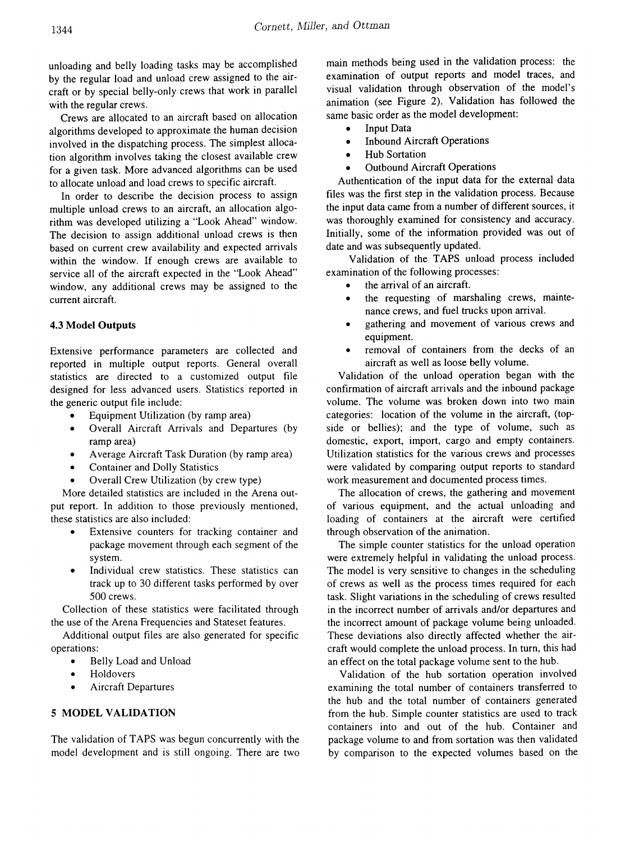unloading and belly loading tasks may be accomplished by the regular load and unload crew assigned to the aircraft or by special belly-only crews that work in parallel with the regular crews.

Crews are allocated to an aircraft based on allocation algorithms developed to approximate the human decision involved in the dispatching process. The simplest allocation algorithm involves taking the closest available crew for a given task. More advanced algorithms can be used to allocate unload and load crews to specific aircraft.

In order to describe the decision process to assign multiple unload crews to an aircraft, an allocation algorithm was developed utilizing a "Look Ahead" window. The decision to assign additional unload crews is then based on current crew availability and expected arrivals within the window. If enough crews are available to service all of the aircraft expected in the "Look Ahead" window, any additional crews may be assigned to the current aircraft.

#### 4.3 Model Outputs

Extensive performance parameters are collected and reported in multiple output reports. General overall statistics are directed to a customized output file designed for less advanced users. Statistics reported in the generic output file include:

- Equipment Utilization (by ramp area)
- Overall Aircraft Arrivals and Departures (by ramp area)
- Average Aircraft Task Duration (by ramp area)
- Container and Dolly Statistics
- Overall Crew Utilization (by crew type)

More detailed statistics are included in the Arena output report. In addition to those previously mentioned, these statistics are also included:

- Extensive counters for tracking container and package movement through each segment of the system.
- Individual crew statistics. These statistics can track up to 30 different tasks performed by over 500 crews.

Collection of these statistics were facilitated through the use of the Arena Frequencies and Stateset features.

Additional output files are also generated for specific operations:

- Belly Load and Unload
- **Holdovers**
- Aircraft Departures

#### 5 MODEL VALIDATION

The validation of TAPS was begun concurrently with the model development and is still ongoing. There are two

main methods being used in the validation process: the examination of output reports and model traces, and visual validation through observation of the model's animation (see Figure 2). Validation has followed the same basic order as the model development:

- Input Data
- Inbound Aircraft Operations
- Hub Sortation
- **Outbound Aircraft Operations**

Authentication of the input data for the external data files was the first step in the validation process. Because the input data came from a number of different sources, it was thoroughly examined for consistency and accuracy. Initially, some of the information provided was out of date and was subsequently updated.

Validation of the TAPS unload process included examination of the following processes:

- the arrival of an aircraft.
- the requesting of marshaling crews, maintenance crews, and fuel trucks upon arrival.
- gathering and movement of various crews and equipment.
- removal of containers from the decks of an aircraft as well as loose belly volume.

Validation of the unload operation began with the confirmation of aircraft arrivals and the inbound package volume. The volume was broken down into two main categories: location of the volume in the aircraft, (topside or bellies); and the type of volume, such as domestic, export, import, cargo and empty containers. Utilization statistics for the various crews and processes were validated by comparing output reports to standard work measurement and documented process times.

The allocation of crews, the gathering and movement of various equipment, and the actual unloading and loading of containers at the aircraft were certified through observation of the animation.

The simple counter statistics for the unload operation were extremely helpful in validating the unload process. The model is very sensitive to changes in the scheduling of crews as well as the process times required for each task. Slight variations in the scheduling of crews resulted in the incorrect number of arrivals and/or departures and the incorrect amount of package volume being unloaded. These deviations also directly affected whether the aircraft would complete the unload process. In turn, this had an effect on the total package volume sent to the hub.

Validation of the hub sortation operation involved examining the total number of containers transferred to the hub and the total number of containers generated from the hub. Simple counter statistics are used to track containers into and out of the hub. Container and package volume to and from sortation was then validated by comparison to the expected volumes based on the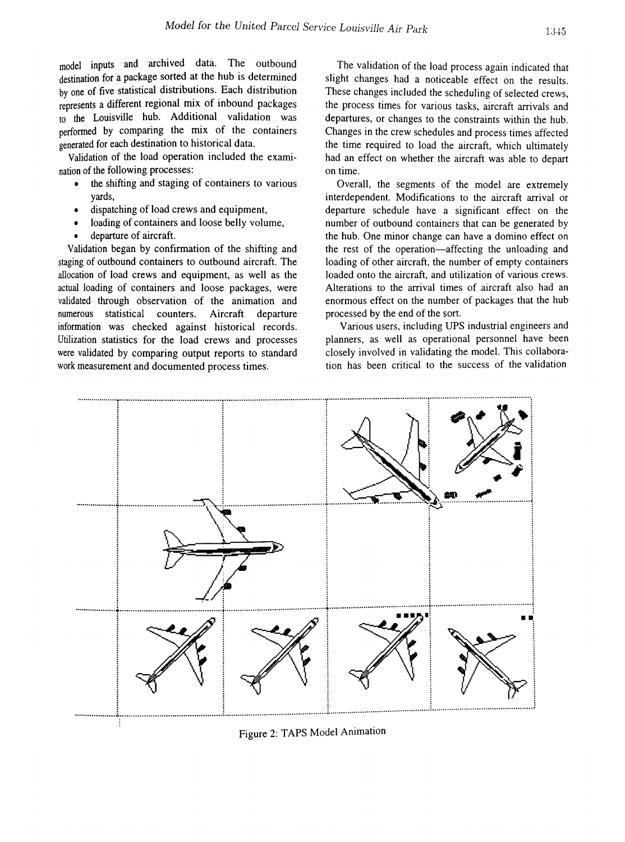model inputs and archived data. The outbound destination for a package sorted at the hub is determined by one of five statistical distributions. Each distribution represents a different regional mix of inbound packages to the Louisville hub. Additional validation was performed by comparing the mix of the containers generated for each destination to historical data.

Validation of the load operation included the examination of the following processes:

- the shifting and staging of containers to various yards,
- dispatching of load crews and equipment,
- loading of containers and loose belly volume,
- departure of aircraft.

Validation began by confirmation of the shifting and staging of outbound containers to outbound aircraft. The allocation of load crews and equipment, as well as the actual loading of containers and loose packages, were validated through observation of the animation and numerous statistical counters. Aircraft departure information was checked against historical records. Utilization statistics for the load crews and processes were validated by comparing output reports to standard work measurement and documented process times.

The validation of the load process again indicated that slight changes had a noticeable effect on the results. These changes included the scheduling of selected crews, the process times for various tasks, aircraft arrivals and departures, or changes to the constraints within the hub. Changes in the crew schedules and process times affected the time required to load the aircraft, which ultimately had an effect on whether the aircraft was able to depart on time.

Overall, the segments of the model are extremely interdependent. Modifications to the aircraft arrival or departure schedule have a significant effect on the number of outbound containers that can be generated by the hub. One minor change can have a domino effect on the rest of the operation-affecting the unloading and loading of other aircraft, the number of empty containers loaded onto the aircraft, and utilization of various crews. Alterations to the arrival times of aircraft also had an enormous effect on the number of packages that the hub processed by the end of the sort.

Various users, including UPS industrial engineers and planners, as well as operational personnel have been closely involved in validating the model. This collaboration has been critical to the success of the validation



Figure 2: TAPS Model Animation